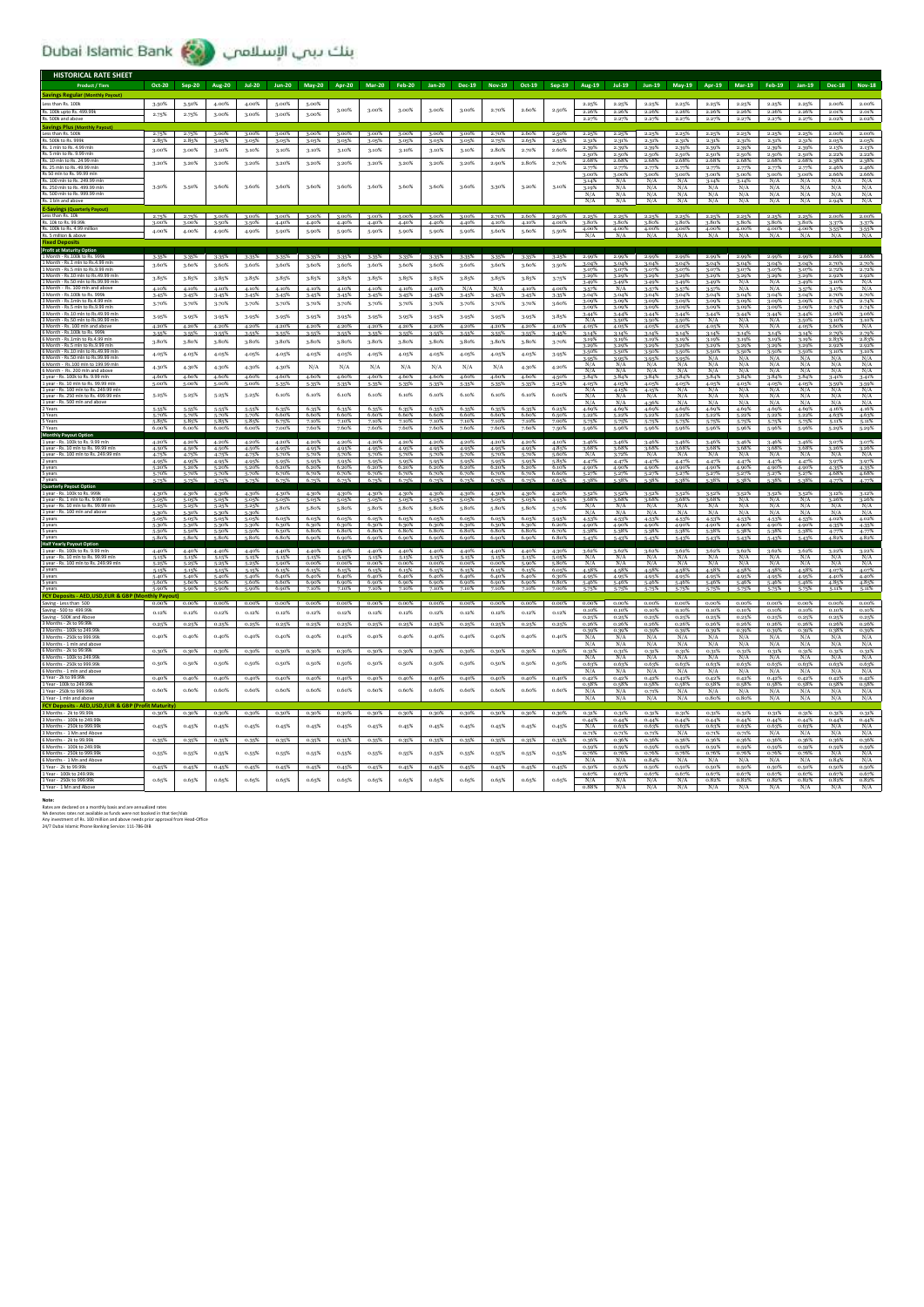بنك بيب الإسلامي (Dubai Islamic Bank

| <b>HISTORICAL RATE SHEET</b>                                                 |                          |                   |                   |                         |                |                |                |                   |                   |                   |                |                            |                |                   |                      |                      |                   |                   |                   |                   |                   |                   |                  |                                 |
|------------------------------------------------------------------------------|--------------------------|-------------------|-------------------|-------------------------|----------------|----------------|----------------|-------------------|-------------------|-------------------|----------------|----------------------------|----------------|-------------------|----------------------|----------------------|-------------------|-------------------|-------------------|-------------------|-------------------|-------------------|------------------|---------------------------------|
| <b>Product / Tiers</b>                                                       | Oct-20                   | <b>Sep-20</b>     | Aug-20            | $Jul-20$                | <b>Jun-20</b>  | <b>May-20</b>  | Apr-20         | <b>Mar-20</b>     | <b>Feb-20</b>     | Jan-20            | Dec-19         | <b>Nov-19</b>              | Oct-19         | $Sep-19$          | Aug-19               | $Jul-19$             | $Jun-19$          | May-19            | Apr-19            | <b>Mar-19</b>     | <b>Feb-19</b>     | Jan-19            | <b>Dec-18</b>    | <b>Nov-18</b>                   |
| <b>Savings Regular (Monthly Payout)</b><br>Less than Rs. 100k                | 3.50%                    | 3.50%             | 4.00%             | 4.00%                   | 5.00%          | 5.00%          |                |                   |                   |                   |                |                            |                |                   | 2.25%                | 2.25%                | 2.25%             | 2.25%             | 2.25%             | 2.25%             | 2.25%             | 2.25%             | 2.00%            | 2.00%                           |
| Rs. 100k upto Rs. 499.99k                                                    | 2.75%                    | 2.75%             | 3.00%             | 3.00%                   | 3.00%          | 3.00%          | 3.00%          | 3.00%             | 3.00%             | 3.00%             | 3.00%          | 2.70%                      | 2.60%          | $2.50\%$          | 2.26%                | 2.26%                | 2.26%             | 2.26%             | 2.26%             | 2.26%             | 2.26%             | 2.26%             | 2.01%            | 2.01%                           |
| Rs. 500k and ab                                                              |                          |                   |                   |                         |                |                |                |                   |                   |                   |                |                            |                |                   | 227%                 |                      |                   |                   |                   |                   |                   |                   | 2.02%            | 2.02%                           |
| <b>Savings Plus (Monthly Pavou</b><br>Less than Rs. 500k                     | 2.75%                    | 2.75%             | 3.00%             | 3.00%                   | 3.00%          | 3.00%          | 3.00%          | 3.00%             | 3.00%             | 3.00%             | 3.00%          | 2.70%                      | 2.60%          | 2.50%             | 2.25%                | 2.25%                | 2.25%             | 2.25%             | 2.25%             | 2.25%             | 2.25%             | 2.25%             | 2.00%            | 2.00%                           |
| Rs. 500k to Rs. 999<br>Rs. 1 mln to Rs. 4.99 ml                              | 2.85%                    | 2.85%             | 3.05%             | 3.05%                   | 3.05%          | 3.05%          | 3.05%          | 3.05%             | 3.05%             | 3.05%             | 3.05%          | 2.75%                      | 2.65%          | 2.55%             | 2.319<br>2.39%       | 2.31%<br>2.39%       | 2.31%<br>2.39%    | 2.31%<br>2.39%    | 2.319<br>2.39%    | 2.31%<br>2.39%    | 2.31%             | 2.31%<br>2.39%    | 2.05%<br>2.13%   | 2.05%<br>2.13%                  |
| Rs. 5 mln to Rs. 9.99 mln<br>Rs. 10 mln to Rs. 24.99 mln                     | 3.00%                    | 3.00%             | 3.10%             | 3.10%                   | 3.10%          | 3.10%          | 3.10%          | 3.10%             | 3.10%             | 3.10%             | 3.10%          | 2.80%                      | 2.70%          | 2.60%             | 2.50%                | 2.50%                | 2.50%             | 2.50%             | 2.50%             | 2.50%             | 2.50%             | 2.50%             | 2.22%            | 2.22%                           |
| Rs. 25 mln to Rs. 49.99 mln                                                  | 3.20%                    | 3.20%             | 3.20%             | 3.20%                   | 3.20%          | 3.20%          | 3.20%          | 3.20%             | 3.20%             | 3.20%             | 3.20%          | 2.90%                      | 2.80%          | 2.70%             | 2.68%<br>2.779       | 2.68%<br>2.77%       | 2.68%<br>2.77%    | 2.68%<br>2.77%    | 2.68%<br>2.77%    | 2.68%<br>2.77%    | 2.68%<br>2.77%    | 2.68%<br>2.77%    | 2.38%<br>2.46%   | 2.38%<br>2.46%                  |
| Rs 50 mln to Rs. 99.99 mln<br>Rs. 100 mln to Rs. 249.99 ml                   |                          |                   |                   |                         |                |                |                |                   |                   |                   |                |                            |                |                   | 3.00%<br>3.14%       | 3.00%<br>N/A         | 3.00%<br>N/A      | 3.00%<br>N/A      | 3.00%<br>3.14%    | 3.00%<br>3.14%    | 3.00%<br>N/A      | 3.00%<br>N/A      | 266%<br>N/A      | 2.66%<br>N/A                    |
| Rs. 250 mln to Rs. 499.99 mln                                                | 3.50%                    | 3.50%             | 3.60%             | 3.60%                   | 3.60%          | 3.60%          | 3.60%          | 3.60%             | 3.60%             | 3.60%             | 3.60%          | 3.30%                      | 3.20%          | 3.10%             | $\frac{3.19\%}{N/A}$ | N/A<br>N/A           | N/A<br>N/A        | N/A               | $\frac{N/A}{N/A}$ | N/A               | $\frac{N/A}{N/A}$ | N/A<br>N/A        | N/A<br>N/A       | $\frac{N/A}{N/A}$               |
| Rs. 500 mln to Rs. 999.99 r<br>Rs. 1 bln and abov                            |                          |                   |                   |                         |                |                |                |                   |                   |                   |                |                            |                |                   | N/A                  | N/A                  | N/A               | N/A<br>N/A        |                   | N/A<br>N/A        | N/A               | N/2               | 2.94%            | N/A                             |
| <b>E-Savings (Quarterly Pay</b><br>Less than Rs. 10k                         | 2.75%                    | 2.75%             | 3.00%             | 3.00%                   | 3.00%          | 3.00%          | 3.00%          | $3.00\%$          | 3.00%             | 3.00%             | 3.00%          | 2.70%                      | 2.60%          | 2.50%             | 2.25%                | 2.25%                | $2.25\%$          | $2.25\%$          | 2.25%             | 2.25%             | 2.25%             | 2.25%             | 2.00%            | 2.00%                           |
| Rs. 10k to Rs. 99.99k                                                        | 3.00%                    | 3.00%             | 3.50%             | 3-50%                   | 4.40%          | 4.40%          | 4.40%          | 4.40%             | 4.40%             | 4.40%             | 4.40%          | 4.10%                      | 4.10%          | 4.00%             | 3.80%                | 3.80%                | 3.80%             | 3.80%             | 3.80%             | 3.80%             | 3.80%             | 3.80%             | 3.37%            | 3.37%                           |
| Rs. 100k to Rs. 4.99 million<br>llion & abovi                                | 4.00%                    | 4.00%             | 4.90%             | 4.90%                   | 5.90%          | 5.90%          | 5.90%          | 5.90%             | 5.90%             | 5.90%             | 5.90%          | 5.60%                      | 5.60%          | 5.50%             | 4.00%<br>N/A         | 4.00%<br>N/A         | 4.00%<br>N/A      | 4.00%             | 4.00%<br>N/A      | 4.00%<br>N/A      | 4.00%             | 4.00%             | 3-55%            | 3-55%                           |
| <b>Profit at Maturity Option</b>                                             |                          |                   |                   |                         |                |                |                |                   |                   |                   |                |                            |                |                   |                      |                      |                   |                   |                   |                   |                   |                   |                  |                                 |
|                                                                              | 3-35%                    | 3-35%             | 3-35%             | 3.35%                   | 3-35%          | 3-35%          | 3-35%          | 3-35%             | 3-35%             | 3-35%             | 3-35%          | 3-35%                      | 3-35%          | 3.25%             | 2.99%                | 2.99%                | 2.99%             | 2.99%             | 2.99%             | 2.99%             | 2.99%             | 2.99%             | 2.66%            | 2.66%                           |
| 1 Month - Rs.1 mln to Rs.4.99 ml<br>1 Month - Rs.5 mln to Rs.9.99 mln        | 3.60%                    | 3.60%             | 3,60%             | 3.60%                   | 3.60%          | 3.60%          | 3.60%          | 3.60%             | 3.60%             | 3.60%             | 3.60%          | 3.60%                      | 3.60%          | 3.50%             | 3.04%<br>3.07%       | 3.04%<br>3.07%       | 3.04%<br>3.07%    | 3.04%<br>3.07%    | 3.04%<br>3.07%    | 3.04%<br>3.07%    | 3.04%<br>3.07%    | 3.04%<br>3.07%    | 2.70%<br>2.72%   | 2.72%                           |
| Month - Rs.10 mln to Rs.49.99 ml<br>1 Month - Rs.50 mln to Rs.99.99 mln      | 3.85%                    | 3.85%             | 3.85%             | 3-85%                   | 3.85%          | 3.85%          | 3.85%          | 3.85%             | 3.85%             | 3.85%             | 3.85%          | 3.85%                      | 3.85%          | 3-75%             | 3.29%<br>3.49%       | 3.29%<br>3-49%       | 3-29%<br>3-49%    | 3.29%<br>3.49%    | 3.29%<br>3.49%    | 3.29%<br>N/A      | 3.29%<br>N/A      | 3.29%<br>3.49%    | 2.92%<br>3.10%   | 2.92%                           |
| 1 Month - Rs. 100 mln and abor<br>3 Month - Rs 100k to Rs 999                | 4.10%<br>3.45%           | 4.10%<br>3.45%    | 4.10%<br>3.45%    | 4.10%<br>3.45%          | 4.10%<br>3.45% | 4.10%<br>3.45% | 4.10%<br>3.45% | 4.10%<br>3.45%    | 4.10%<br>3.45%    | 4.10%<br>3.45%    | N/A<br>3.459   | N/A<br>3.45%               | 4.10%<br>3.45% | 4.00%<br>3.359    | 3-57%<br>3.045       | N/A<br>3.04%         | 3.57%<br>3.04%    | 3.57%<br>3.04%    | 3.57%<br>3.049    | N/A<br>3.049      | N/A<br>3.04%      | 3.57%<br>3.04%    | 3.17%<br>2.70%   | $\frac{N/A}{N/A}$<br>2.70%      |
| 3 Month - Rs.1mln to Rs.4.99 mlr                                             | 3.70%                    | 3.70%             | 3.70%             | 3.70%                   | 3.70%          | 3.70%          | 3.70%          | 3.70%             | 3.70%             | 3.70%             | 3.70%          | 3.70%                      | 3.70%          | 3.60%             | 3.09%                | 3.09%                | 3.09%             | 3.09%             | 3.09%             | 3.09%             | 3.09%             | 3.09%             | 2.74%            | 2.74%                           |
| 3 Month - Rs.5 mln to Rs.9.99 m<br>3 Month - Rs.10 mln to Rs.49.99 ml        | 3.95%                    | 3.95%             | 3.95%             | 3.95%                   | 3.95%          | 3.95%          | 3-95%          | 3.95%             | 3.95%             | 3.95%             | 3.95%          | 3-95%                      | 3.95%          | 3.85%             | 3.09%<br>3.44%       | 3.09%<br>3-44%       | 3.09%<br>3-44%    | 3.09%<br>3.44%    | 3.09%<br>3.44%    | 3.09%<br>3.44%    | 3.09%<br>3.44%    | 3.09%<br>3-44%    | 2.74%<br>3.06%   | 2.74%<br>3.06%                  |
| 3 Month - Rs.50 mln to Rs.99.99 ml<br>3 Month - Rs. 100 mln and abov         | 4.20%                    | 4.20%             | 4.20%             | 4.20%                   | 4.20%          | 4.20%          | 4.20%          | 4.20%             | 4.20%             | 4.20%             | 4.20%          | 4.20%                      | 4.20%          | 4.10%             | N/A<br>4.05          | 3.50%<br>4.05%       | 3-50%<br>4.05%    | 3.50%<br>4.05%    | N/A<br>4.05%      | N/A<br>N/A        | N/A<br>N/A        | 3-50%<br>4.05%    | 3.10%<br>3.60%   | 3.10%<br>N/A                    |
| 6 Month - Rs.100k to Rs. 999k                                                | 3-55%<br>3.80%           | 3.55%<br>3.80%    | 3.55%<br>3,80%    | 3.55%<br>3.80%          | 3.55%<br>3.80% | 3-55%<br>3.80% | 3.55%<br>3,80% | 3-55%<br>3.80%    | 3.55%<br>3.80%    | 3-55%<br>3.80%    | 3.55%<br>3.80% | 3.55%<br>3.80%             | 3.55%<br>3.80% | 3.45%<br>3.70%    | 3.14%<br>3.19%       | 3.14%<br>3.19%       | 3.14%<br>3.19%    | 3.14%<br>3.19%    | 3.14%<br>3.19%    | 3.14%<br>3.19%    | 3.14%<br>3.19%    | 3.14%<br>3.19%    | 2.79%<br>2.83%   | 2.79%<br>2.83%                  |
| 6 Month - Rs.5 mln to Rs.9.99 ml<br>6 Month - Rs.10 mln to Rs.49.99 ml       |                          |                   |                   |                         |                |                |                |                   |                   |                   |                |                            |                |                   | 3.299<br>3.50%       | 3.29%<br>3.50%       | 3.29%<br>3-50%    | 3.29%<br>3.50%    | 3.299<br>3.50%    | 3.29%<br>3.50%    | 3.29%<br>3.50%    | 3.29%<br>3.50%    | 2.92%<br>3.10%   | 2.92%<br>3.10%                  |
| 6 Month - Rs.50 mln to Rs.99.99 mln                                          | 4.05%                    | 4.05%             | 4.05%             | 4.05%                   | 4.05%          | 4.05%          | 4.05%          | 4.05%             | 4.05%             | 4.05%             | 4.05%          | 4.05%                      | 4.05%          | 3.95%             | 3.95%                | 3.95%<br>N/A         | 3.95%             | 3.95%<br>N/A      | N/A<br>N/A        | N/A<br>N/A        | N/A<br>N/A        | N/A<br>N/A        | N/A<br>N/A       | N/A                             |
| 6 Month - Rs.100 mln to 199.99 ml<br>6 Month - Rs. 200 mln and abovi         | 4.30%                    | 4.30%             | 4.30%             | 4.30%                   | 4.30%          | N/A            | N/A            | N/A               | N/A               | N/A               | N/A            | N/A                        | 4.30%          | 4.20%             | N/A<br>N/A           | N/A                  | N/A<br>N/A        | N/A               | N/A               | N/A               | N/A               | N/A               | N/A              | $\frac{N/A}{N/A}$               |
| 1 year - Rs. 100k to Rs. 9.99 mln<br>1 year - Rs. 10 mln to Rs. 99.99 ml     | 4.60%<br>5.00%           | 4.60%<br>5.00%    | 4.60%<br>5.00%    | 4.60%<br>5.00%          | 4.60%<br>5-35% | 4.60%<br>5-35% | 4.60%<br>5.35% | 4.60%<br>5-35%    | 4.60%<br>5.35%    | 4.60%<br>5.35%    | 4.60%<br>5.35% | 4.60%<br>5-35%             | 4.60%<br>5-35% | 4.50%<br>5.25%    | 3.84%<br>4.05%       | 3.84%<br>4.05%       | 3.84%<br>4.05%    | 3.84%<br>4.05%    | 3.84%<br>4.05%    | 3.84%<br>4.05%    | 3.84%<br>4.05%    | 3.84%<br>4.05%    | 3.41%<br>3.59%   | 3.41%                           |
| 1 year - Rs. 100 mln to Rs. 249.9<br>1 year - Rs. 250 mln to Rs. 499.99 mln  | 5.25%                    | 5.25%             | 5.25%             | 5.25%                   | 6.10%          | 6.10%          | 6.10%          | 6.10%             | 6.10%             | 6.10%             | 6.10%          | 6.10%                      | 6.10%          | 6.00%             | N/A<br>N/A           | 4.15%<br>N/A         | 4.15%<br>N/A      | N/A<br>N/A        | N/A<br>N/A        | N/A<br>N/A        | N/A<br>N/A        | N/A<br>N/A        | N/A<br>$N/\beta$ | $\frac{3.59\%}{N/A}$<br>N/A     |
| 1 year - Rs. 500 mln and above<br>2 Years                                    | 5.55%                    | 5-55%             | 5.55%             |                         | 6.35%          | 6.35%          | 6.35%          | 6.35%             | 6.35%             | 6.35%             | 6.35%          | 6.35%                      | 6.35%          | 6.25%             | N/A<br>4.699         | N/A<br>4.69%         | 4.36%<br>4.69%    | N/A<br>4.69%      | N/A<br>4.699      | N/A<br>4.69%      | N/A<br>4.69%      | N/A<br>4.69%      | N/A<br>4.16%     | N/A                             |
| 3 Years                                                                      | 5.70%                    | 5.70%             | 5.70%             | 5.55%<br>5.70%<br>5.85% | 6.60%          | 6.60%          | 6.60%          | 6.60%             | 6.60%             | 6.60%             | 6.60%          | 6.60%                      | 6.60%          | 6.50%             | 5.22%                | 5.22%                | 5.22%             | 5.22%             | 5.22%             | 5.22%             | 5.22%             | 5.22%             | 4.63%            | 4.16%<br>4.63%                  |
| S Years<br>7 Years                                                           | 5.85%<br>6.00%           | 5.85%<br>6.00%    | 5.85%<br>6.00%    | 6.00%                   | 6.75%<br>7.00% | 7.10%          | 7.10%          | 7.10%             | 7.10%             | 7.10%             | 7.10%<br>7.60% | 7.10%<br>7.60%             | 7.10%<br>7.60% | 7.00%<br>7.50%    | 5.75%<br>5.96%       | 5.75%                | 5.75%<br>5.96%    | 5-75%<br>5.96%    | 5-75%             | 5-75%<br>5.96%    | 5.75%<br>5.96%    | 5.75%<br>5.96%    | 5.11%<br>5.29%   | 5.11%<br>5.29%                  |
| Monthly Payout Opt<br>1 year - Rs. 100k to Rs. 9.99                          | 4.20%                    | 4.20%             | 4.20%             | 4.20%                   | 4.20%          | 4.20%          | 4.20%          | 4.20%             | 4.20%             | 4.20%             | 4.20%          | 4.20%                      | 4.20%          | 4.10%             | 3.46%                | 3.46%                | 3.46%             | 3.46%             | 3.46%             | 3.46%             | 3.46%             | 3.46%             | 3.07%            |                                 |
| 1 year - Rs. 10 mln to Rs. 99.99 mln                                         | 4.50%                    | 4.50%             | 4.50%             | 4.50%                   | 4.95%          | 4.95%          | 4.95%          | 4.95%             | 4.95%             | 4.95%             | 4.95% 4.95%    |                            | 4.95%          | 4.85%             | 3.68%<br>N/A         | 3.68%                | 3.68%<br>N/A      | 3.68%<br>N/A      | 3.68%<br>N/A      | 3.68%<br>N/A      | 3.68%<br>N/A      | 3.68%<br>N/A      | 3.26%<br>N/A     | 3.26%<br>N/A                    |
| 1 year - Rs. 100 mln to Rs. 249.99 mln                                       | 4.75%<br>4.95%           | 4.75%<br>4.95%    | 4.75%<br>4.95%    | 4.75%<br>4.95%          | 5.70%<br>5.95% | 5.70%<br>5-95% | 5.70%<br>5.95% | 5.70%<br>5.95%    | 5.70%<br>5.95%    | 5.70%<br>5.95%    | 5.70%<br>5.95% | 5.70%<br>5-95%             | 5.70%<br>5.95% | 5.60%<br>5.85%    | 4.47%                | 3.72%<br>4.47%       | 4.47%             | 4.47%             | 4.47%             | 4.47%             | 4.47%             | 4.47%             | 3.97%            | 3.97%                           |
| 3 years<br>S years                                                           | 5.20%<br>5.70%           | 5.20%<br>5.70%    | 5.20%<br>5.70%    | 5.20%<br>5.70%          | 6.20%<br>6.70% | 6.20%<br>6.70% | 6.20%<br>6.70% | 6.20%<br>6.70%    | 6.20%<br>6.70%    | 6.20%<br>6.70%    | 6.20%<br>6.70% | 6.20%<br>6.70%             | 6.20%<br>6.70% | 6.10%<br>6.60%    | 4.90%<br>5.27%       | 4.90%<br>5.27%       | 4.90%<br>5.27%    | 4.90%<br>5.27%    | 4.90%<br>5.27%    | 4.90%<br>5.27%    | 4.90%<br>5.27%    | 4.90%<br>5.27%    | 4.35%<br>4.68%   | 4.35%<br>4.68%                  |
| <b>Quarterly Payout Option</b>                                               |                          |                   |                   |                         | 6.75%          | 6.75%          | 6.75%          | 6.75%             | 6.75%             | 6.75%             | 6.75%          | 6.75%                      | 6.75%          | 6.659             |                      |                      |                   |                   |                   |                   |                   |                   | A.77%            | 4.77%                           |
| 1 year - Rs. 100k to Rs. 999<br>1 year - Rs. 1 mln to Rs. 9.99 mln           | 4.30%<br>5.05%           | 4.30%<br>5.05%    | 4.30%<br>5.05%    | 4.30%<br>5.05%          | 4.30%<br>5.05% | 4.30%<br>5.05% | 4.30%<br>5.05% | 4.30%<br>5.05%    | 4.30%<br>5.05%    | 4.30%<br>5.05%    | 4.30%<br>5.05% | 4.30%<br>5.05%             | 4.30%<br>5.05% | 4.20%<br>4.95%    | 3.52%<br>3.68%       | 3.52%<br>3.68%       | 3.52%<br>3.68%    | 3-52%<br>3.68%    | 3.52%<br>3.68%    | 3.52%<br>N/A      | 3.52%<br>N/A      | 3.52%<br>N/A      | 3.12%<br>3.26%   | 3.12%                           |
| 1 year - Rs. 10 mln to Rs. 99.99 mln                                         | 5.25%                    | 5.25%             | 5.25%             | 5.25%                   | 5.80%          | 5.80%          | 5.80%          | 5,80%             | 5.80%             | 5.80%             | 5.80%          | 5.80%                      | 5.80%          | 5.70%             | N/A<br>N/A           | N/A<br>N/A           | N/A<br>N/A        | N/A<br>N/A        | N/A<br>N/A        | N/A<br>N/A        | N/A<br>N/A        | N/A<br>N/A        | N/A<br>N/A       | $\frac{3.26\%}{N/A}$            |
| 1 year - Rs. 100 mln and above<br>2 years                                    | 5.30%<br>5.05%           | 5.30%<br>5.05%    | 5.30%<br>5.05%    | 5-30%<br>5.05%          | 6.05%          | 6.05%          | 6.05%          | 6.05%             | 6.05%             | 6.05%             | 6.05%          | 6.05%                      | 6.05%          | 5.95%             | 4-53%                | 4.53%                | 4.53%             | 4.53%             | 4.53%             | 4.53%             | 4.53%             | 4.53%             | 4.02%            | N/A<br>4.02%                    |
| 3 years<br>S years                                                           | 5.30%<br>5.50%           | 5.30%<br>5.50%    | 5.30%<br>5.50%    | 5-30%<br>5-50%          | 6.30%<br>6.50% | 6.30%<br>6.80% | 6.30%<br>6.80% | 6.30%<br>6.80%    | 6.30%<br>6.80%    | 6.30%<br>6.80%    | 6.30%<br>6.80% | 6.30%<br>6.80%             | 6.30%<br>6.80% | 6.20%<br>6.70%    | 4.90%<br>5.38%       | 4.90%<br>5-38%       | 4.90%<br>5.38%    | 4.90%<br>5.38%    | 4.90%<br>5.38%    | 4.90%<br>5.38%    | 4.90%<br>5.38%    | 4.90%<br>5-38%    | 4.35%<br>4.77%   | 4.35%<br>4.77%                  |
| 7 years<br><b>Half Yearly Payout Option</b>                                  | 5.80%                    | 5.80%             | 5.80%             | 5.80%                   | 6.80%          | 6.90%          | 6.90%          | 6.90%             | 6.90%             | 6.90%             | 6.90%          | 6.90%                      | 6.90%          | 6.80%             | 5.42%                | 5.42%                | <b>5.42%</b>      | 5.42%             | 5.42%             | 5.42%             | 5.42%             | 5.42%             | 4.82%            | 482%                            |
| 1 year - Rs. 100k to Rs. 9.99 ml<br>1 year - Rs. 10 mln to Rs. 99.99 mln     | 4.40%<br>5.15%           | 4.40%<br>5.15%    | 4.40%<br>5.15%    | 4.40%<br>5.15%          | 4.40%<br>5.15% | 4.40%<br>5.15% | 4.40%<br>5.15% | 4.40%<br>5.15%    | 4.40%<br>5.15%    | 4.40%<br>5.15%    | 4.40%<br>5.15% | 4.40%<br>5.15%             | 4.40%<br>5.15% | 4.30%<br>5.05%    | 3.62%<br>N/A         | 3.62%<br>N/A         | 3.62%<br>N/A      | 3.62%<br>N/A      | 3.62%<br>N/A      | 3.62%<br>N/A      | 3.62%<br>N/A      | 3.62%<br>N/A      | 3.22%<br>N/A     | N/A                             |
| 1 year - Rs. 100 min to Rs. 249.99 min                                       | 5.25%                    | 5.25%             | 5.25%             | 5.25%                   | 5.90%          | 0.00%          | 0.00%          | 0.00%             | $0.00\%$          | $0.00\%$          | $0.00\%$       | $0.00\%$                   | 5.90%          | 5.80%             | N/A                  | N/A                  | N/A               | N/A               | N/A               | N/A               | N/A               | N/A               | N/A              | N/A                             |
| 2 years<br>3 years                                                           | 5.15%<br>5.40%           | 5.15%<br>5.40%    | 5.15%<br>5.40%    | 5.15%<br>5.40%          | 6.15%<br>6.40% | 6.15%<br>6.40% | 6.15%<br>6.40% | 6.15%<br>6.40%    | 6.15%<br>6.40%    | 615%<br>6.40%     | 6.15%<br>6.40% | 6.15%<br>$6.40\%$ $6.40\%$ | 6.15%          | 6.05%<br>6.30%    | 4.58%<br>4.95%       | 4.58%<br>4.95%       | A.58%<br>4.95%    | 4.58%<br>4.95%    | 4.58%<br>4.95%    | 4.58%<br>4.95%    | 4.58%<br>4.95%    | 4.58%<br>4.95%    | 4.07%<br>4.40%   | 4.07%<br>4.40%                  |
| 5 years<br>7 years                                                           | 5.60%<br>$5.90\%$        | 5.60%<br>5.90%    | 5.60%<br>5.90%    | 5.60%<br>5.90%          | 6.60%<br>6.90% | 6.90%<br>710%  | 6.90%<br>710%  | 6.90%<br>710%     | 6.90%<br>7.10%    | 6.90%<br>7.10%    | 6.90%<br>7.10% | 6.90%<br>7.10%             | 6.90%<br>7.10% | 6.80%<br>7.00%    | 5.46%<br>5.75%       | 5.46%<br>5.75%       | 5.46%<br>c new    | 5.46%             | 5.46%             | 5.46%             | 5.46%             | 5.46%             | 4.85%<br>5.11%   | 4.85%<br>5.11%                  |
| FCY Deposits - AED,USD,EUR & GB                                              | nthly Pavout             |                   |                   |                         |                |                |                |                   |                   |                   |                |                            |                |                   |                      |                      |                   |                   |                   |                   |                   |                   |                  |                                 |
| Saving - Less than 500<br>Saving - 500 to 499.99k<br>Saving - 500K and Above | $0.00\%$<br>0.12%        | $0.00\%$<br>0.12% | $0.00\%$<br>0.12% | 0.00%<br>0.12%          | 0.00%<br>0.12% | 0.00%<br>0.12% | 0.00%<br>0.12% | $0.00\%$<br>0.12% | $0.00\%$<br>0.12% | $0.00\%$<br>0.12% | 0.00%<br>0.12% | $0.00\%$<br>0.12%          | 0.00%<br>0.12% | $0.00\%$<br>0.12% | 0.00%<br>0.10%       | $0.00\%$<br>$0.10\%$ | $0.00\%$<br>0.10% | 0.00%<br>0.10%    | $0.00\%$<br>0.10% | $0.00\%$<br>0.10% | $0.00\%$<br>0.10% | $0.00\%$<br>0.10% | 0.00%<br>0.10%   | 0.00%<br>0.10%                  |
| 3 Months - 2k to 99.99                                                       | 0.25%                    | 0.25%             | 0.25%             | 0.25%                   | 0.25%          | 0.25%          | 0.25%          | 0.25%             | 0.25%             | 0.25%             | 0.25%          | 0.25%                      | 0.25%          | 0.25%             | 0.25%<br>0.26%       | 0.25%<br>0.26%       | 0.25%<br>0.26%    | 0.25%<br>0.26%    | 0.25%<br>0.26%    | 0.25%<br>0.26%    | 0.25%<br>0.26%    | 0.25%<br>0.26%    | 0.25%<br>0.26%   | 0.25%<br>0.26%                  |
| 3 Months - 100k to 249.99                                                    |                          |                   |                   |                         |                |                |                |                   |                   |                   |                |                            |                |                   | 0.39%                | 0.39%                | 0.39%             | 0.39%             | 0.39%             | 0.39%             | 0.39%             | 0.39%             | 0.38%            | 0.39%                           |
| 3 Months - 250k to 999.99<br>3 Months - 1 mln and abov                       | 0.40%                    | 0.40%             | 0.40%             | 0.40%                   | 0.40%          | 0.40%          | 0.40%          | 0.40%             | 0.40%             | 0.40%             | 0.40%          | 0.40%                      | 0.40%          | 0.40%             | N/A<br>N/A           | N/A<br>N/A           | N/A<br>N/A        | N/A<br>N/A        | N/A<br>N/A        | N/A<br>N/A        | N/A<br>N/A        | N/A<br>N/A        | N/A<br>N/A       | $\frac{\text{N/A}}{\text{N/A}}$ |
| 6 Months - 2k to 99.99<br>6 Months - 100k to 249.99k                         | 0.30%                    | 0.30%             | 0.30%             | 0.30%                   | 0.30%          | 0.30%          | 0.30%          | 0.30%             | 0.30%             | 0.30%             | 0.30%          | 0.30%                      | 0.30%          | 0.30%             | 0.31%<br>N/A         | 0.31%<br>N/A         | 0.31%<br>N/A      | 0.31%<br>N/A      | 0.31%<br>N/A      | 0.31%<br>N/A      | 0.31%<br>N/A      | 0.31%<br>N/A      | 0.31%<br>N/A     | 0.31%<br>N/A                    |
| 6 Months - 250k to 999.99                                                    | 0.50%                    | 0.50%             | 0.50%             | 0.50%                   | 0.50%          | 0.50%          | 0.50%          | 0.50%             | 0.50%             | 0.50%             | 0.50%          | 0.50%                      | 0.50%          | 0.50%             | 0.63                 | 0.63%                | 0.63%             | 0.63 <sup>6</sup> | 0.639             | 0.63%             | 0.639             | 0.639             | 0.639            | 0.63%                           |
| Months - 1 mln and ahow<br>1 Year - 2k to 99.99k                             | 0.40%                    | 0.40%             | 0.40%             | 0.40%                   | 0.40%          | 0.40%          | 0.40%          | 0.40%             | 0.40%             | 0.40%             | 0.40%          | 0.40%                      | 0.40%          | 0.40%             | N/A<br>0.42%         | N/A<br>0.42%         | N/A<br>0.42%      | N/A<br>0.42%      | N/A<br>0.42%      | N/A<br>0.42%      | N/A<br>0.42%      | N/A<br>0.42%      | N/A<br>0.42%     | N/A<br>0.42%                    |
| 1 Year - 100k to 249.99<br>1 Year - 250k to 999.99                           | 0.60%                    | 0.60%             | 0.60%             | 0.60%                   | 0.60%          | 0.60%          | 0.60%          | 0.60%             | 0.60%             | 0.60%             | 0.60%          | 0.60%                      | 0.60%          | 0.60%             | 0.58%<br>N/A         | 0.58%                | 0.58%             | 0.58%             | 0.58%<br>N/A      | 0.58%             | 0.58%             | 0.58%             | 0.58%            | 0.58%                           |
| 1 Year - 1 mln and ahm                                                       |                          |                   |                   |                         |                |                |                |                   |                   |                   |                |                            |                |                   | N/A                  | N/A<br>N/4           | 0.71%<br>N/A      | N/A<br>$N/\Delta$ | 0.809             | N/A<br>0.803      | N/A<br>$N/\Delta$ | N/A<br>N/A        | N/A<br>N/A       | N/A<br>N/A                      |
| <b>FCY Deposits - AED, USD</b><br>3 Months - 2k to 99.99                     | <b>Maturity</b><br>0.30% | 0.30%             | 0.30%             | 0.30%                   | 0.30%          | 0.30%          | 0.30%          | 0.30%             | 0.30%             | $0.30\%$          | 0.30%          | 0.30%                      | 0.30%          | 0.30%             | 0.31%                | 0.31%                | 0.31%             | 0.31%             | 0.31%             | 0.31%             | 0.31%             | 0.31%             | 0.31%            | 0.31%                           |
| 3 Months - 100k to 249 99k<br>3 Months - 250k to 999.99                      | 0.45%                    | 0.45%             | 0.45%             | 0.45%                   | 0.45%          | 0.45%          | 0.45%          | 0.45%             | 0.45%             | 0.45%             | 0.45%          | 0.45%                      | 0.45%          | 0.45%             | 0.44%                | 0.44%<br>0.63%       | 0.44%<br>0.63%    | 0.44%             | 0.44%             | 0.44%             | 0.44%             | 0.44%             | 0.44%<br>N/A     | 0.44%<br>N/A                    |
| 3 Months - 1 Mn and Above                                                    |                          |                   |                   |                         |                |                |                |                   |                   |                   |                |                            |                |                   | N/A<br>0.71%         | 0.71%                | 0.71%             | 0.63%<br>N/A      | 0.63%<br>0.71%    | 0.63%<br>0.71%    | 0.63%<br>N/A      | 0.63%<br>N/A      | N/A              | N/A                             |
| 6 Months - 2k to 99.99<br>6 Months - 100k to 249.99                          | 0.35%                    | 0.35%             | 0.35%             | 0.35%                   | 0.35%          | 0.35%          | 0.35%          | 0.35%             | 0.35%             | 0.35%             | 0.35%          | 0.35%                      | 0.35%          | 0.35%             | 0.36%<br>0.59%       | 0.36%<br>0.59%       | 0.36%<br>0.59%    | 0.36%<br>0.59%    | 0.36%<br>0.59%    | 0.36%<br>0.59%    | 0.36%<br>0.59%    | 0.36%<br>0.59%    | 0.36%<br>0.59%   | 0.36%<br>0.59%                  |
| 6 Months - 250k to 999 99k                                                   | 0.55%                    | 0.55%             | 0.55%             | 0.55%                   | 0.55%          | 0.55%          | 0.55%          | 0.55%             | 0.55%             | 0.55%             | 0.55%          | 0.55%                      | 0.55%          | 0.55%             |                      | 0.76%                | 0.76%             | 0.76%             | 0.76%             | 0.76%             | 0.76%             | 0.76%             | $N/\Lambda$      | N/A                             |
| 6 Months - 1 Mn and Ab<br>1 Year - 2k to 99.99k                              | 0.45%                    | 0.45%             | 0.45%             | 0.45%                   | 0.45%          | 0.45%          | 0.45%          | 0.45%             | 0.45%             | 0.45%             | 0.45%          | 0.45%                      | 0.45%          | 0.45%             | N/A<br>0.50%         | N/A<br>0.50%         | 0.84%<br>0.50%    | N/A<br>0.50%      | N/A<br>0.50%      | N/A<br>0.50%      | N/A<br>0.50%      | N/A<br>0.50%      | 0.84%<br>0.50%   | N/A<br>$\frac{0.50\%}{0.67\%}$  |
| 1 Year - 100k to 249.99<br>1 Year - 250k to 999.99k                          | 0.65%                    | 0.65%             | 0.65%             | 0.65%                   | 0.65%          | 0.65%          | 0.65%          | 0.65%             | 0.65%             | 0.65%             | 0.65%          | 0.65%                      | 0.65%          | 0.65%             | 0.679<br>N/A         | 0.67%<br>N/A         | 0.67%<br>N/A      | 0.67%<br>N/A      | 0.67%<br>0.82%    | 0.67%<br>0.82%    | 0.67%<br>0.82%    | 0.67%<br>0.82%    | 0.67%<br>0.82%   | 0.82%                           |
| Year - 1 Mn and Abo                                                          |                          |                   |                   |                         |                |                |                |                   |                   |                   |                |                            |                |                   | n 88%                |                      | N/A               | N/A               | N/A               | N/A               | N/A               | N/A               | N/A              | N/A                             |

**Note:**

Rates are declared on a monthly basis and are annualized rates<br>NA denotes rates not available as funds were not booked in that tier/slab<br>Any investment of Rs. 100 million and above needs prior approval from Head-Office<br>24/